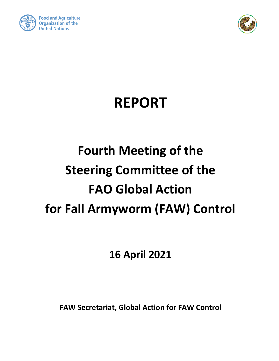



## **REPORT**

# **Fourth Meeting of the Steering Committee of the FAO Global Action for Fall Armyworm (FAW) Control**

**16 April 2021**

**FAW Secretariat, Global Action for FAW Control**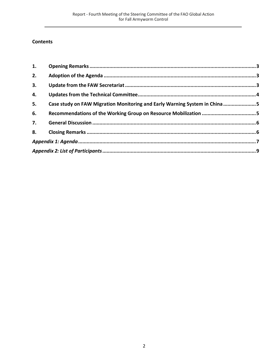#### **Contents**

| 1. |                                                                           |  |
|----|---------------------------------------------------------------------------|--|
| 2. |                                                                           |  |
| 3. |                                                                           |  |
| 4. |                                                                           |  |
| 5. | Case study on FAW Migration Monitoring and Early Warning System in China5 |  |
| 6. |                                                                           |  |
| 7. |                                                                           |  |
| 8. |                                                                           |  |
|    |                                                                           |  |
|    |                                                                           |  |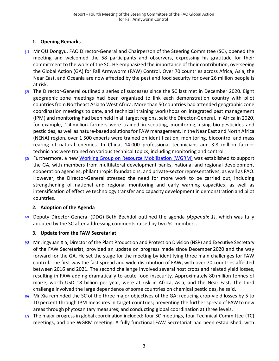## **1. Opening Remarks**

- <span id="page-2-0"></span>*[1]* Mr QU Dongyu, FAO Director-General and Chairperson of the Steering Committee (SC), opened the meeting and welcomed the 58 participants and observers, expressing his gratitude for their commitment to the work of the SC. He emphasized the importance of their contribution, overseeing the Global Action (GA) for Fall Armyworm (FAW) Control. Over 70 countries across Africa, Asia, the Near East, and Oceania are now affected by the pest and food security for over 26 million people is at risk.
- *[2]* The Director-General outlined a series of successes since the SC last met in December 2020. Eight geographic zone meetings had been organized to link each demonstration country with pilot countries from Northeast Asia to West Africa. More than 50 countries had attended geographic zone coordination meetings to date, and technical training workshops on integrated pest management (IPM) and monitoring had been held in all target regions, said the Director-General. In Africa in 2020, for example, 1.4 million farmers were trained in scouting, monitoring, using bio-pesticides and pesticides, as well as nature-based solutions for FAW management. In the Near East and North Africa (NENA) region, over 1 500 experts were trained on identification, monitoring, biocontrol and mass rearing of natural enemies. In China, 14 000 professional technicians and 3.8 million farmer technicians were trained on various technical topics, including monitoring and control.
- *[3]* Furthermore, a new Working [Group on Resource Mobilization](http://www.fao.org/3/cb4546en/cb4546en.pdf) (WGRM) was established to support the GA, with members from multilateral development banks, national and regional development cooperation agencies, philanthropic foundations, and private-sector representatives, as well as FAO. However, the Director-General stressed the need for more work to be carried out, including strengthening of national and regional monitoring and early warning capacities, as well as intensification of effective technology transfer and capacity development in demonstration and pilot countries.

## **2. Adoption of the Agenda**

<span id="page-2-1"></span>*[4]* Deputy Director-General (DDG) Beth Bechdol outlined the agenda *(Appendix 1)*, which was fully adopted by the SC after addressing comments raised by two SC members.

#### **3. Update from the FAW Secretariat**

- <span id="page-2-2"></span>*[5]* Mr Jingyuan Xia, Director of the Plant Production and Protection Division (NSP) and Executive Secretary of the FAW Secretariat, provided an update on progress made since December 2020 and the way forward for the GA. He set the stage for the meeting by identifying three main challenges for FAW control. The first was the fast spread and wide distribution of FAW, with over 70 countries affected between 2016 and 2021. The second challenge involved several host crops and related yield losses, resulting in FAW adding dramatically to acute food insecurity. Approximately 80 million tonnes of maize, worth USD 18 billion per year, were at risk in Africa, Asia, and the Near East. The third challenge involved the large dependence of some countries on chemical pesticides, he said.
- *[6]* Mr Xia reminded the SC of the three major objectives of the GA: reducing crop-yield losses by 5 to 10 percent through IPM measures in target countries; preventing the further spread of FAW to new areasthrough phytosanitary measures; and conducting global coordination at three levels.
- *[7]* The major progress in global coordination included: four SC meetings, four Technical Committee (TC) meetings, and one WGRM meeting. A fully functional FAW Secretariat had been established, with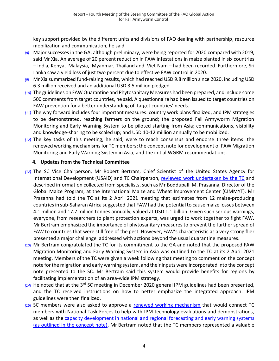key support provided by the different units and divisions of FAO dealing with partnership, resource mobilization and communication, he said.

- *[8]* Major successes in the GA, although preliminary, were being reported for 2020 compared with 2019, said Mr Xia. An average of 20 percent reduction in FAW infestations in maize planted in six countries – India, Kenya, Malaysia, Myanmar, Thailand and Viet Nam – had been recorded. Furthermore, Sri Lanka saw a yield loss of just two percent due to effective FAW control in 2020.
- *[9]* Mr Xia summarized fund-raising results, which had reached USD 9.8 million since 2020, including USD 6.3 million received and an additional USD 3.5 million pledged.
- *[10]* The guidelines on FAW Quarantine and Phytosanitary Measures had been prepared, and include some 500 comments from target countries, he said. A questionnaire had been issued to target countries on FAW prevention for a better understanding of target countries' needs.
- *[11]* The way forward includes four important measures: country work plans finalized, and IPM strategies to be demonstrated, reaching farmers on the ground; the proposed Fall Armyworm Migration Monitoring and Early Warning System to be piloted starting from Asia; communications, visibility and knowledge-sharing to be scaled up; and USD 10-12 million annually to be mobilized.
- *[12]* The key tasks of this meeting, he said, were to reach consensus and endorse three items: the renewed working mechanisms for TC members; the concept note for development of FAW Migration Monitoring and Early Warning System in Asia; and the initial WGRM recommendations*.*

#### **4. Updates from the Technical Committee**

- <span id="page-3-0"></span>*[12]* The SC Vice Chairperson, Mr Robert Bertram, Chief Scientist of the United States Agency for International Development (USAID) and TC Chairperson, [reviewed work undertaken by the TC](http://www.fao.org/3/cb4543en/cb4543en.pdf) and described information collected from specialists, such as Mr Boddupalli M. Prasanna, Director of the Global Maize Program, at the International Maize and Wheat Improvement Center (CIMMYT). Mr Prasanna had told the TC at its 2 April 2021 meeting that estimates from 12 maize-producing countries in sub-Saharan Africa suggested that FAW had the potential to cause maize losses between 4.1 million and 17.7 million tonnes annually, valued at USD 1.1 billion. Given such serious warnings, everyone, from researchers to plant protection experts, was urged to work together to fight FAW. Mr Bertram emphasized the importance of phytosanitary measures to prevent the further spread of FAW to countries that were still free of the pest. However, FAW's characteristic as a very strong flier presented a major challenge addressed with actions beyond the usual quarantine measures.
- *[13]* Mr Bertram congratulated the TC for its commitment to the GA and noted that the proposed FAW Migration Monitoring and Early Warning System in Asia was outlined to the TC at its 2 April 2021 meeting. Members of the TC were given a week following that meeting to comment on the concept note for the migration and early warning system, and their inputs were incorporated into the concept note presented to the SC. Mr Bertram said this system would provide benefits for regions by facilitating implementation of an area-wide IPM strategy.
- *[14]* He noted that at the 3rd SC meeting in December 2020 general IPM guidelines had been presented, and the TC received instructions on how to better emphasize the integrated approach. IPM guidelines were then finalized.
- *[15]* SC members were also asked to approve a [renewed working mechanism](http://www.fao.org/3/cb4543en/cb4543en.pdf) that would connect TC members with National Task Forces to help with IPM technology evaluations and demonstrations, as well as the [capacity development in national and regional forecasting and early warning systems](http://www.fao.org/3/cb4543en/cb4543en.pdf) (as outlined in the concept note). Mr Bertram noted that the TC members represented a valuable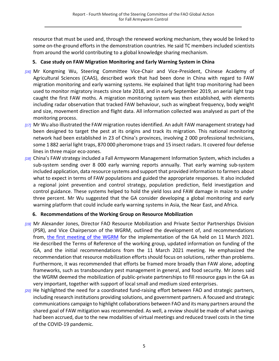resource that must be used and, through the renewed working mechanism, they would be linked to some on-the-ground efforts in the demonstration countries. He said TC members included scientists from around the world contributing to a global knowledge sharing mechanism.

#### **5. Case study on FAW Migration Monitoring and Early Warning System in China**

- <span id="page-4-0"></span>*[16]* Mr Kongming Wu, Steering Committee Vice-Chair and Vice-President, Chinese Academy of Agricultural Sciences (CAAS), described work that had been done in China with regard to FAW migration monitoring and early warning systems. He explained that light trap monitoring had been used to monitor migratory insects since late 2018, and in early September 2019, an aerial light trap caught the first FAW moths. A migration monitoring system was then established, with elements including radar observation that tracked FAW behaviour, such as wingbeat frequency, body weight and size, movement direction and flight data. All information collected was analysed as part of the monitoring process.
- *[17]* Mr Wu also illustrated the FAW migration routes identified. An adult FAW management strategy had been designed to target the pest at its origins and track its migration. This national monitoring network had been established in 23 of China's provinces, involving 2 000 professional technicians, some 1 882 aerial light traps, 870 000 pheromone traps and 15 insect radars. It covered four defense lines in three major eco-zones.
- *[18]* China's FAW strategy included a Fall Armyworm Management Information System, which includes a sub-system sending over 8 000 early warning reports annually. That early warning sub-system included application, data resource systems and support that provided information to farmers about what to expect in terms of FAW populations and guided the appropriate responses. It also included a regional joint prevention and control strategy, population prediction, field investigation and control guidance. These systems helped to hold the yield loss and FAW damage in maize to under three percent. Mr Wu suggested that the GA consider developing a global monitoring and early warning platform that could include early warning systems in Asia, the Near East, and Africa.

## **6. Recommendations of the Working Group on Resource Mobilization**

- <span id="page-4-1"></span>*[19]* Mr Alexander Jones, Director FAO Resource Mobilization and Private Sector Partnerships Division (PSR), and Vice Chairperson of the WGRM, outlined the development of, and recommendations from, [the first meeting of the WGRM](http://www.fao.org/3/cb4546en/cb4546en.pdf) for the implementation of the GA held on 11 March 2021*.* He described the Terms of Reference of the working group, updated information on funding of the GA, and the initial recommendations from the 11 March 2021 meeting. He emphasized the recommendation that resource mobilization efforts should focus on solutions, rather than problems. Furthermore, it was recommended that efforts be framed more broadly than FAW alone, adopting frameworks, such as transboundary pest management in general, and food security. Mr Jones said the WGRM deemed the mobilization of public-private partnerships to fill resource gaps in the GA as very important, together with support of local small and medium sized enterprises.
- *[20]* He highlighted the need for a coordinated fund-raising effort between FAO and strategic partners, including research institutions providing solutions, and government partners. A focused and strategic communications campaign to highlight collaborations between FAO and its many partners around the shared goal of FAW mitigation was recommended. As well, a review should be made of what savings had been accrued, due to the new modalities of virtual meetings and reduced travel costs in the time of the COVID-19 pandemic.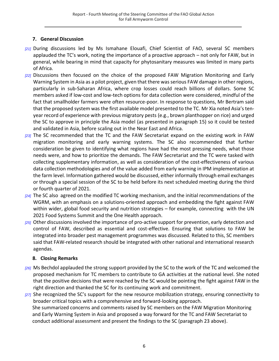## **7. General Discussion**

- <span id="page-5-0"></span>*[21]* During discussions led by Ms Ismahane Elouafi, Chief Scientist of FAO, several SC members applauded the TC's work, noting the importance of a proactive approach – not only for FAW, but in general, while bearing in mind that capacity for phytosanitary measures was limited in many parts of Africa.
- *[22]* Discussions then focused on the choice of the proposed FAW Migration Monitoring and Early Warning System in Asia as a pilot project, given that there was serious FAW damage in other regions, particularly in sub-Saharan Africa, where crop losses could reach billions of dollars. Some SC members asked if low-cost and low-tech options for data collection were considered, mindful of the fact that smallholder farmers were often resource-poor. In response to questions, Mr Bertram said that the proposed system was the first available model presented to the TC. Mr Xia noted Asia's tenyear record of experience with previous migratory pests (e.g., brown planthopper on rice) and urged the SC to approve in principle the Asia model (as presented in paragraph 15) so it could be tested and validated in Asia, before scaling out in the Near East and Africa.
- *[23]* The SC recommended that the TC and the FAW Secretariat expand on the existing work in FAW migration monitoring and early warning systems. The SC also recommended that further consideration be given to identifying what regions have had the most pressing needs, what those needs were, and how to prioritize the demands. The FAW Secretariat and the TC were tasked with collecting supplementary information, as well as consideration of the cost-effectiveness of various data collection methodologies and of the value added from early warning in IPM implementation at the farm level. Information gathered would be discussed, either informally through email exchanges or through a special session of the SC to be held before its next scheduled meeting during the third or fourth quarter of 2021.
- *[24]* The SC also agreed on the modified TC working mechanism, and the initial recommendations of the WGRM, with an emphasis on a solutions-oriented approach and embedding the fight against FAW within wider, global food security and nutrition strategies – for example, connecting with the UN 2021 Food Systems Summit and the One Health approach.
- *[25]* Other discussions involved the importance of pro-active support for prevention, early detection and control of FAW, described as essential and cost-effective. Ensuring that solutions to FAW be integrated into broader pest management programmes was discussed. Related to this, SC members said that FAW-related research should be integrated with other national and international research agendas.

#### **8. Closing Remarks**

- <span id="page-5-1"></span>*[26]* Ms Bechdol applauded the strong support provided by the SC to the work of the TC and welcomed the proposed mechanism for TC members to contribute to GA activities at the national level. She noted that the positive decisions that were reached by the SC would be pointing the fight against FAW in the right direction and thanked the SC for its continuing work and commitment.
- *[27]* She recognized the SC's support for the new resource mobilization strategy, ensuring connectivity to broader critical topics with a comprehensive and forward-looking approach. She summarized concerns and comments raised by SC members on the FAW Migration Monitoring and Early Warning System in Asia and proposed a way forward for the TC and FAW Secretariat to conduct additional assessment and present the findings to the SC (paragraph 23 above).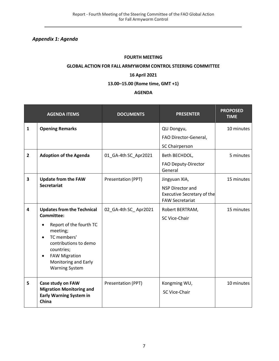<span id="page-6-0"></span>*Appendix 1: Agenda*

#### **FOURTH MEETING**

#### **GLOBAL ACTION FOR FALL ARMYWORM CONTROL STEERING COMMITTEE**

#### **16 April 2021**

#### **13.00–15.00 (Rome time, GMT +1)**

#### **AGENDA**

|                         | <b>AGENDA ITEMS</b>                                                                                                                                                                                                                                    | <b>DOCUMENTS</b>     | <b>PRESENTER</b>                                                                                        | <b>PROPOSED</b><br><b>TIME</b> |
|-------------------------|--------------------------------------------------------------------------------------------------------------------------------------------------------------------------------------------------------------------------------------------------------|----------------------|---------------------------------------------------------------------------------------------------------|--------------------------------|
| $\mathbf{1}$            | <b>Opening Remarks</b>                                                                                                                                                                                                                                 |                      | QU Dongyu,<br>FAO Director-General,<br>SC Chairperson                                                   | 10 minutes                     |
| $\overline{2}$          | <b>Adoption of the Agenda</b>                                                                                                                                                                                                                          | 01 GA-4th SC Apr2021 | Beth BECHDOL,<br>FAO Deputy-Director<br>General                                                         | 5 minutes                      |
| 3                       | <b>Update from the FAW</b><br><b>Secretariat</b>                                                                                                                                                                                                       | Presentation (PPT)   | Jingyuan XIA,<br><b>NSP Director and</b><br><b>Executive Secretary of the</b><br><b>FAW Secretariat</b> | 15 minutes                     |
| $\overline{\mathbf{4}}$ | <b>Updates from the Technical</b><br><b>Committee:</b><br>Report of the fourth TC<br>meeting;<br>TC members'<br>$\bullet$<br>contributions to demo<br>countries;<br><b>FAW Migration</b><br>$\bullet$<br>Monitoring and Early<br><b>Warning System</b> | 02_GA-4th SC_Apr2021 | Robert BERTRAM,<br>SC Vice-Chair                                                                        | 15 minutes                     |
| 5                       | Case study on FAW<br><b>Migration Monitoring and</b><br><b>Early Warning System in</b><br>China                                                                                                                                                        | Presentation (PPT)   | Kongming WU,<br>SC Vice-Chair                                                                           | 10 minutes                     |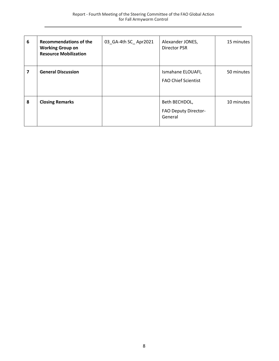| 6 | <b>Recommendations of the</b><br><b>Working Group on</b><br><b>Resource Mobilization</b> | 03 GA-4th SC_Apr2021 | Alexander JONES,<br>Director PSR                 | 15 minutes |
|---|------------------------------------------------------------------------------------------|----------------------|--------------------------------------------------|------------|
| 7 | <b>General Discussion</b>                                                                |                      | Ismahane ELOUAFI,<br><b>FAO Chief Scientist</b>  | 50 minutes |
| 8 | <b>Closing Remarks</b>                                                                   |                      | Beth BECHDOL,<br>FAO Deputy Director-<br>General | 10 minutes |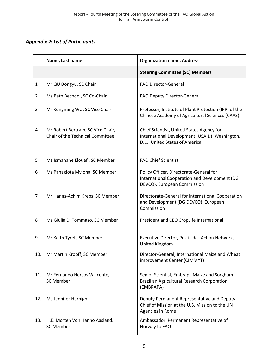## <span id="page-8-0"></span>*Appendix 2: List of Participants*

|     | Name, Last name                                                       | <b>Organization name, Address</b>                                                                                             |
|-----|-----------------------------------------------------------------------|-------------------------------------------------------------------------------------------------------------------------------|
|     |                                                                       | <b>Steering Committee (SC) Members</b>                                                                                        |
| 1.  | Mr QU Dongyu, SC Chair                                                | <b>FAO Director-General</b>                                                                                                   |
| 2.  | Ms Beth Bechdol, SC Co-Chair                                          | FAO Deputy Director-General                                                                                                   |
| 3.  | Mr Kongming WU, SC Vice Chair                                         | Professor, Institute of Plant Protection (IPP) of the<br>Chinese Academy of Agricultural Sciences (CAAS)                      |
| 4.  | Mr Robert Bertram, SC Vice Chair,<br>Chair of the Technical Committee | Chief Scientist, United States Agency for<br>International Development (USAID), Washington,<br>D.C., United States of America |
| 5.  | Ms Ismahane Elouafi, SC Member                                        | <b>FAO Chief Scientist</b>                                                                                                    |
| 6.  | Ms Panagiota Mylona, SC Member                                        | Policy Officer, Directorate-General for<br>International Cooperation and Development (DG<br>DEVCO), European Commission       |
| 7.  | Mr Hanns-Achim Krebs, SC Member                                       | Directorate-General for International Cooperation<br>and Development (DG DEVCO), European<br>Commission                       |
| 8.  | Ms Giulia Di Tommaso, SC Member                                       | President and CEO CropLife International                                                                                      |
| 9.  | Mr Keith Tyrell, SC Member                                            | Executive Director, Pesticides Action Network,<br>United Kingdom                                                              |
| 10. | Mr Martin Kropff, SC Member                                           | Director-General, International Maize and Wheat<br>improvement Center (CIMMYT)                                                |
| 11. | Mr Fernando Hercos Valicente,<br><b>SC Member</b>                     | Senior Scientist, Embrapa Maize and Sorghum<br><b>Brazilian Agricultural Research Corporation</b><br>(EMBRAPA)                |
| 12. | Ms Jennifer Harhigh                                                   | Deputy Permanent Representative and Deputy<br>Chief of Mission at the U.S. Mission to the UN<br>Agencies in Rome              |
| 13. | H.E. Morten Von Hanno Aasland,<br><b>SC Member</b>                    | Ambassador, Permanent Representative of<br>Norway to FAO                                                                      |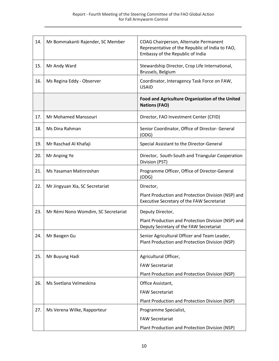| 14. | Mr Bommakanti Rajender, SC Member   | COAG Chairperson, Alternate Permanent<br>Representative of the Republic of India to FAO,<br>Embassy of the Republic of India |
|-----|-------------------------------------|------------------------------------------------------------------------------------------------------------------------------|
| 15. | Mr Andy Ward                        | Stewardship Director, Crop Life International,<br>Brussels, Belgium                                                          |
| 16. | Ms Regina Eddy - Observer           | Coordinator, Interagency Task Force on FAW,<br><b>USAID</b>                                                                  |
|     |                                     | Food and Agriculture Organization of the United<br><b>Nations (FAO)</b>                                                      |
| 17. | Mr Mohamed Manssouri                | Director, FAO Investment Center (CFID)                                                                                       |
| 18. | Ms Dina Rahman                      | Senior Coordinator, Office of Director- General<br>(ODG)                                                                     |
| 19. | Mr Raschad Al Khafaji               | Special Assistant to the Director-General                                                                                    |
| 20. | Mr Anping Ye                        | Director, South-South and Triangular Cooperation<br>Division (PST)                                                           |
| 21. | Ms Yasaman Matinroshan              | Programme Officer, Office of Director-General<br>(ODG)                                                                       |
| 22. | Mr Jingyuan Xia, SC Secretariat     | Director,                                                                                                                    |
|     |                                     | Plant Production and Protection Division (NSP) and<br>Executive Secretary of the FAW Secretariat                             |
| 23. | Mr Rémi Nono Womdim, SC Secretariat | Deputy Director,                                                                                                             |
|     |                                     | Plant Production and Protection Division (NSP) and<br>Deputy Secretary of the FAW Secretariat                                |
| 24. | Mr Baogen Gu                        | Senior Agricultural Officer and Team Leader,<br>Plant Production and Protection Division (NSP)                               |
| 25. | Mr Buyung Hadi                      | Agricultural Officer,                                                                                                        |
|     |                                     | <b>FAW Secretariat</b>                                                                                                       |
|     |                                     | Plant Production and Protection Division (NSP)                                                                               |
| 26. | Ms Svetlana Velmeskina              | Office Assistant,                                                                                                            |
|     |                                     | <b>FAW Secretariat</b>                                                                                                       |
|     |                                     | Plant Production and Protection Division (NSP)                                                                               |
| 27. | Ms Verena Wilke, Rapporteur         | Programme Specialist,                                                                                                        |
|     |                                     | <b>FAW Secretariat</b>                                                                                                       |
|     |                                     | Plant Production and Protection Division (NSP)                                                                               |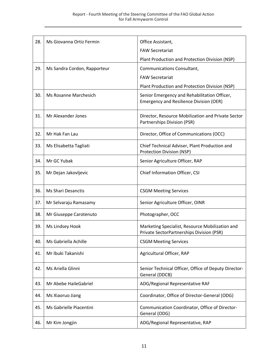| 28. | Ms Giovanna Ortiz Fermin     | Office Assistant,                                                                              |
|-----|------------------------------|------------------------------------------------------------------------------------------------|
|     |                              | <b>FAW Secretariat</b>                                                                         |
|     |                              | Plant Production and Protection Division (NSP)                                                 |
| 29. | Ms Sandra Cordon, Rapporteur | Communications Consultant,                                                                     |
|     |                              | <b>FAW Secretariat</b>                                                                         |
|     |                              | Plant Production and Protection Division (NSP)                                                 |
| 30. | Ms Rosanne Marchesich        | Senior Emergency and Rehabilitation Officer,<br><b>Emergency and Resilience Division (OER)</b> |
| 31. | Mr Alexander Jones           | Director, Resource Mobilization and Private Sector<br>Partnerships Division (PSR)              |
| 32. | Mr Hak Fan Lau               | Director, Office of Communications (OCC)                                                       |
| 33. | Ms Elisabetta Tagliati       | Chief Technical Adviser, Plant Production and<br><b>Protection Division (NSP)</b>              |
| 34. | Mr GC Yubak                  | Senior Agriculture Officer, RAP                                                                |
| 35. | Mr Dejan Jakovljevic         | Chief Information Officer, CSI                                                                 |
| 36. | <b>Ms Shari Desanctis</b>    | <b>CSGM Meeting Services</b>                                                                   |
| 37. | Mr Selvaraju Ramasamy        | Senior Agriculture Officer, OINR                                                               |
| 38. | Mr Giuseppe Carotenuto       | Photographer, OCC                                                                              |
| 39. | Ms Lindsey Hook              | Marketing Specialist, Resource Mobilization and<br>Private SectorPartnerships Division (PSR)   |
| 40. | Ms Gabriella Achille         | <b>CSGM Meeting Services</b>                                                                   |
| 41. | Mr Ibuki Takanishi           | Agricultural Officer, RAP                                                                      |
| 42. | Ms Ariella Glinni            | Senior Technical Officer, Office of Deputy Director-<br>General (DDCB)                         |
| 43. | Mr Abebe HaileGabriel        | ADG/Regional Representative RAF                                                                |
| 44. | Ms Xiaoruo Jiang             | Coordinator, Office of Director-General (ODG)                                                  |
| 45. | Ms Gabrielle Piacentini      | Communication Coordinator, Office of Director-<br>General (ODG)                                |
| 46. | Mr Kim Jongjin               | ADG/Regional Representative, RAP                                                               |